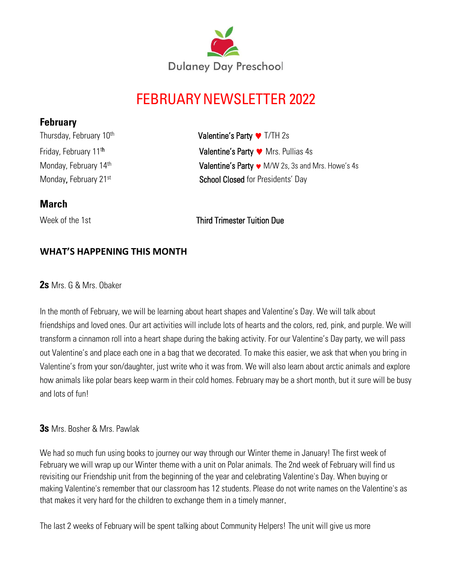

# FEBRUARYNEWSLETTER 2022

## **February**

Thursday, February 10<sup>th</sup> Friday, February 11<sup>th</sup> Monday, February 14th

Valentine's Party ♥ T/TH 2s Valentine's Party  $\bullet$  Mrs. Pullias 4s **Valentine's Party**  $\bullet$  M/W 2s, 3s and Mrs. Howe's 4s Monday, February 21<sup>st</sup> School Closed for Presidents' Day

## **March**

Week of the 1st Third Trimester Tuition Due

## **WHAT'S HAPPENING THIS MONTH**

**2s** Mrs. G & Mrs. Obaker

In the month of February, we will be learning about heart shapes and Valentine's Day. We will talk about friendships and loved ones. Our art activities will include lots of hearts and the colors, red, pink, and purple. We will transform a cinnamon roll into a heart shape during the baking activity. For our Valentine's Day party, we will pass out Valentine's and place each one in a bag that we decorated. To make this easier, we ask that when you bring in Valentine's from your son/daughter, just write who it was from. We will also learn about arctic animals and explore how animals like polar bears keep warm in their cold homes. February may be a short month, but it sure will be busy and lots of fun!

**3s** Mrs. Bosher & Mrs. Pawlak

We had so much fun using books to journey our way through our Winter theme in January! The first week of February we will wrap up our Winter theme with a unit on Polar animals. The 2nd week of February will find us revisiting our Friendship unit from the beginning of the year and celebrating Valentine's Day. When buying or making Valentine's remember that our classroom has 12 students. Please do not write names on the Valentine's as that makes it very hard for the children to exchange them in a timely manner.

The last 2 weeks of February will be spent talking about Community Helpers! The unit will give us more